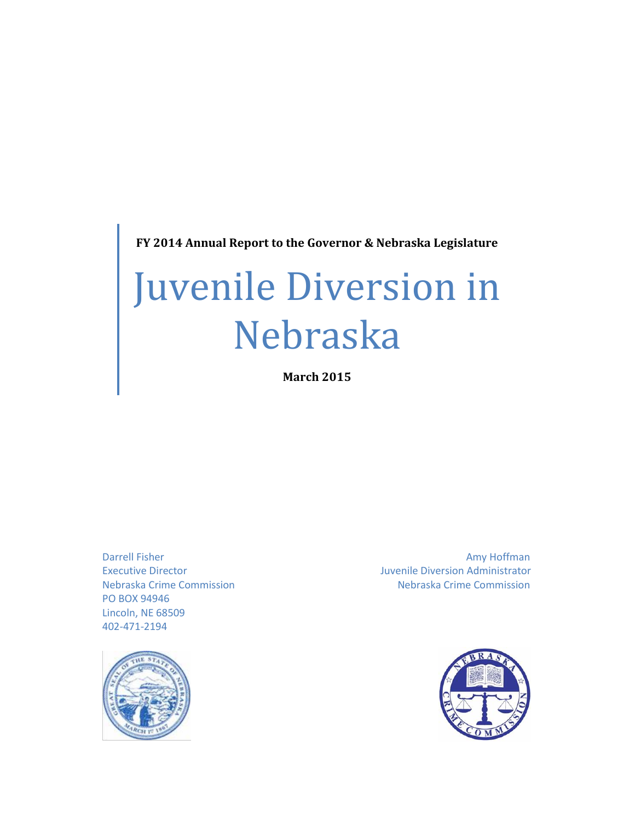**FY 2014 Annual Report to the Governor & Nebraska Legislature**

# Juvenile Diversion in Nebraska

**March 2015**

PO BOX 94946 Lincoln, NE 68509 402-471-2194



Darrell Fisher Amy Hoffman Amy Hoffman Executive Director **Executive Director** Administrator Juvenile Diversion Administrator Nebraska Crime Commission Nebraska Crime Commission

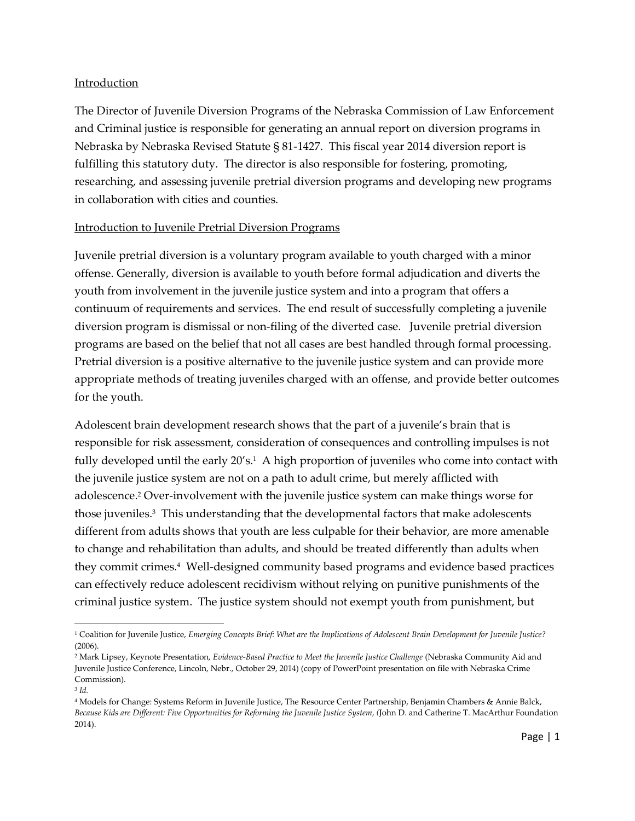## Introduction

The Director of Juvenile Diversion Programs of the Nebraska Commission of Law Enforcement and Criminal justice is responsible for generating an annual report on diversion programs in Nebraska by Nebraska Revised Statute § 81-1427. This fiscal year 2014 diversion report is fulfilling this statutory duty. The director is also responsible for fostering, promoting, researching, and assessing juvenile pretrial diversion programs and developing new programs in collaboration with cities and counties.

#### Introduction to Juvenile Pretrial Diversion Programs

Juvenile pretrial diversion is a voluntary program available to youth charged with a minor offense. Generally, diversion is available to youth before formal adjudication and diverts the youth from involvement in the juvenile justice system and into a program that offers a continuum of requirements and services. The end result of successfully completing a juvenile diversion program is dismissal or non-filing of the diverted case. Juvenile pretrial diversion programs are based on the belief that not all cases are best handled through formal processing. Pretrial diversion is a positive alternative to the juvenile justice system and can provide more appropriate methods of treating juveniles charged with an offense, and provide better outcomes for the youth.

Adolescent brain development research shows that the part of a juvenile's brain that is responsible for risk assessment, consideration of consequences and controlling impulses is not fully developed until the early 20′s.1 A high proportion of juveniles who come into contact with the juvenile justice system are not on a path to adult crime, but merely afflicted with adolescence.<sup>2</sup> Over-involvement with the juvenile justice system can make things worse for those juveniles.<sup>3</sup> This understanding that the developmental factors that make adolescents different from adults shows that youth are less culpable for their behavior, are more amenable to change and rehabilitation than adults, and should be treated differently than adults when they commit crimes.<sup>4</sup> Well-designed community based programs and evidence based practices can effectively reduce adolescent recidivism without relying on punitive punishments of the criminal justice system. The justice system should not exempt youth from punishment, but

 $\overline{\phantom{a}}$ 

<sup>1</sup> Coalition for Juvenile Justice, *Emerging Concepts Brief: What are the Implications of Adolescent Brain Development for Juvenile Justice?* (2006).

<sup>2</sup> Mark Lipsey, Keynote Presentation, *Evidence-Based Practice to Meet the Juvenile Justice Challenge* (Nebraska Community Aid and Juvenile Justice Conference, Lincoln, Nebr., October 29, 2014) (copy of PowerPoint presentation on file with Nebraska Crime Commission).

<sup>3</sup> *Id.*

<sup>4</sup> Models for Change: Systems Reform in Juvenile Justice, The Resource Center Partnership, Benjamin Chambers & Annie Balck, *Because Kids are Different: Five Opportunities for Reforming the Juvenile Justice System, (*John D. and Catherine T. MacArthur Foundation 2014).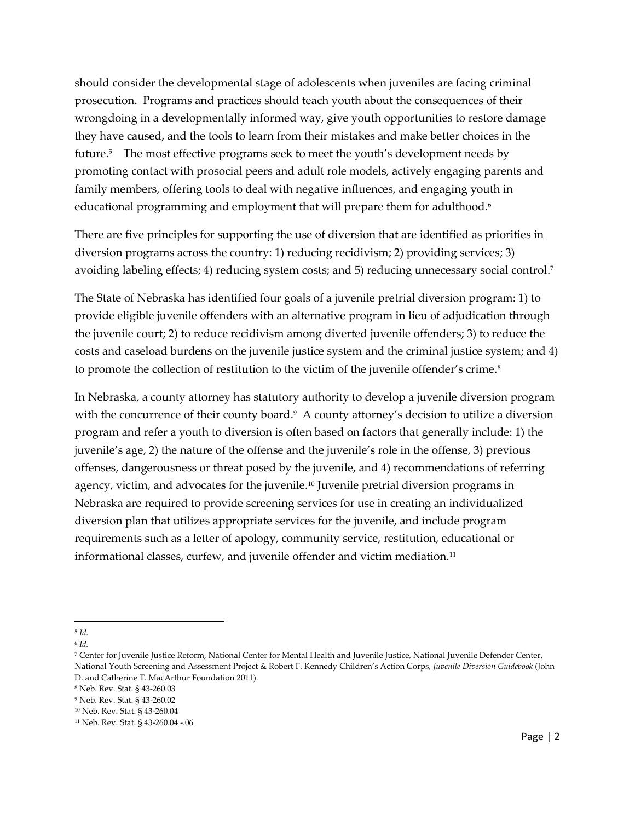should consider the developmental stage of adolescents when juveniles are facing criminal prosecution. Programs and practices should teach youth about the consequences of their wrongdoing in a developmentally informed way, give youth opportunities to restore damage they have caused, and the tools to learn from their mistakes and make better choices in the future.<sup>5</sup> The most effective programs seek to meet the youth's development needs by promoting contact with prosocial peers and adult role models, actively engaging parents and family members, offering tools to deal with negative influences, and engaging youth in educational programming and employment that will prepare them for adulthood. $^{\rm 6}$ 

There are five principles for supporting the use of diversion that are identified as priorities in diversion programs across the country: 1) reducing recidivism; 2) providing services; 3) avoiding labeling effects; 4) reducing system costs; and 5) reducing unnecessary social control. 7

The State of Nebraska has identified four goals of a juvenile pretrial diversion program: 1) to provide eligible juvenile offenders with an alternative program in lieu of adjudication through the juvenile court; 2) to reduce recidivism among diverted juvenile offenders; 3) to reduce the costs and caseload burdens on the juvenile justice system and the criminal justice system; and 4) to promote the collection of restitution to the victim of the juvenile offender's crime.<sup>8</sup>

In Nebraska, a county attorney has statutory authority to develop a juvenile diversion program with the concurrence of their county board.<sup>9</sup> A county attorney's decision to utilize a diversion program and refer a youth to diversion is often based on factors that generally include: 1) the juvenile's age, 2) the nature of the offense and the juvenile's role in the offense, 3) previous offenses, dangerousness or threat posed by the juvenile, and 4) recommendations of referring agency, victim, and advocates for the juvenile.<sup>10</sup> Juvenile pretrial diversion programs in Nebraska are required to provide screening services for use in creating an individualized diversion plan that utilizes appropriate services for the juvenile, and include program requirements such as a letter of apology, community service, restitution, educational or informational classes, curfew, and juvenile offender and victim mediation.<sup>11</sup>

l 5 *Id.*

<sup>6</sup> *Id.*

<sup>7</sup> Center for Juvenile Justice Reform, National Center for Mental Health and Juvenile Justice, National Juvenile Defender Center, National Youth Screening and Assessment Project & Robert F. Kennedy Children's Action Corps, *Juvenile Diversion Guidebook* (John D. and Catherine T. MacArthur Foundation 2011).

<sup>8</sup> Neb. Rev. Stat. § 43-260.03

<sup>9</sup> Neb. Rev. Stat. § 43-260.02

<sup>10</sup> Neb. Rev. Stat. § 43-260.04

<sup>11</sup> Neb. Rev. Stat. § 43-260.04 -.06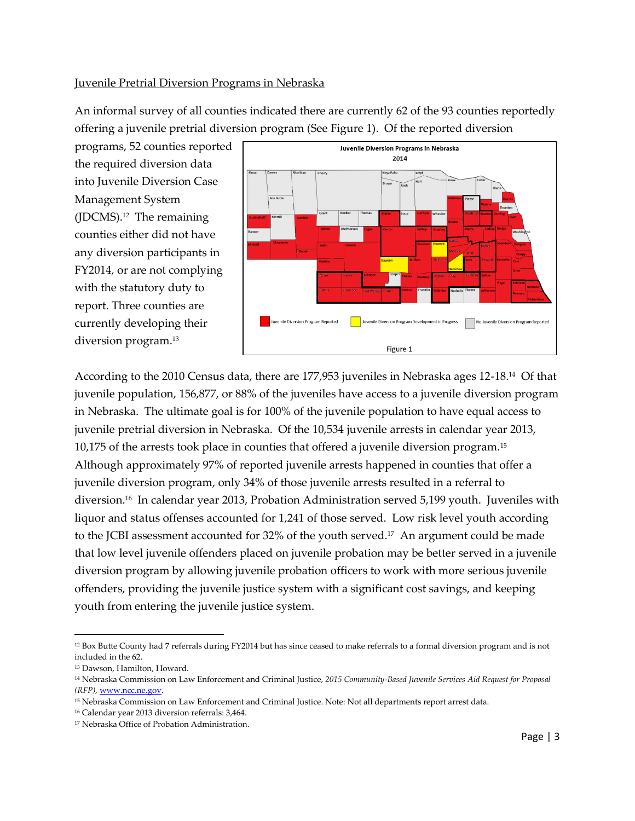# Juvenile Pretrial Diversion Programs in Nebraska

An informal survey of all counties indicated there are currently 62 of the 93 counties reportedly offering a juvenile pretrial diversion program (See Figure 1). Of the reported diversion

programs, 52 counties reported the required diversion data into Juvenile Diversion Case Management System (JDCMS).<sup>12</sup> The remaining counties either did not have any diversion participants in FY2014, or are not complying with the statutory duty to report. Three counties are currently developing their diversion program.<sup>13</sup>



According to the 2010 Census data, there are 177,953 juveniles in Nebraska ages 12-18.<sup>14</sup> Of that juvenile population, 156,877, or 88% of the juveniles have access to a juvenile diversion program in Nebraska. The ultimate goal is for 100% of the juvenile population to have equal access to juvenile pretrial diversion in Nebraska. Of the 10,534 juvenile arrests in calendar year 2013, 10,175 of the arrests took place in counties that offered a juvenile diversion program.<sup>15</sup> Although approximately 97% of reported juvenile arrests happened in counties that offer a juvenile diversion program, only 34% of those juvenile arrests resulted in a referral to diversion.<sup>16</sup> In calendar year 2013, Probation Administration served 5,199 youth. Juveniles with liquor and status offenses accounted for 1,241 of those served. Low risk level youth according to the JCBI assessment accounted for 32% of the youth served.<sup>17</sup> An argument could be made that low level juvenile offenders placed on juvenile probation may be better served in a juvenile diversion program by allowing juvenile probation officers to work with more serious juvenile offenders, providing the juvenile justice system with a significant cost savings, and keeping youth from entering the juvenile justice system.

 $\overline{\phantom{a}}$ 

<sup>&</sup>lt;sup>12</sup> Box Butte County had 7 referrals during FY2014 but has since ceased to make referrals to a formal diversion program and is not included in the 62.

<sup>13</sup> Dawson, Hamilton, Howard.

<sup>14</sup> Nebraska Commission on Law Enforcement and Criminal Justice, *2015 Community-Based Juvenile Services Aid Request for Proposal (RFP),* [www.ncc.ne.gov.](http://www.ncc.ne.gov/) 

<sup>15</sup> Nebraska Commission on Law Enforcement and Criminal Justice. Note: Not all departments report arrest data.

<sup>16</sup> Calendar year 2013 diversion referrals: 3,464.

<sup>17</sup> Nebraska Office of Probation Administration.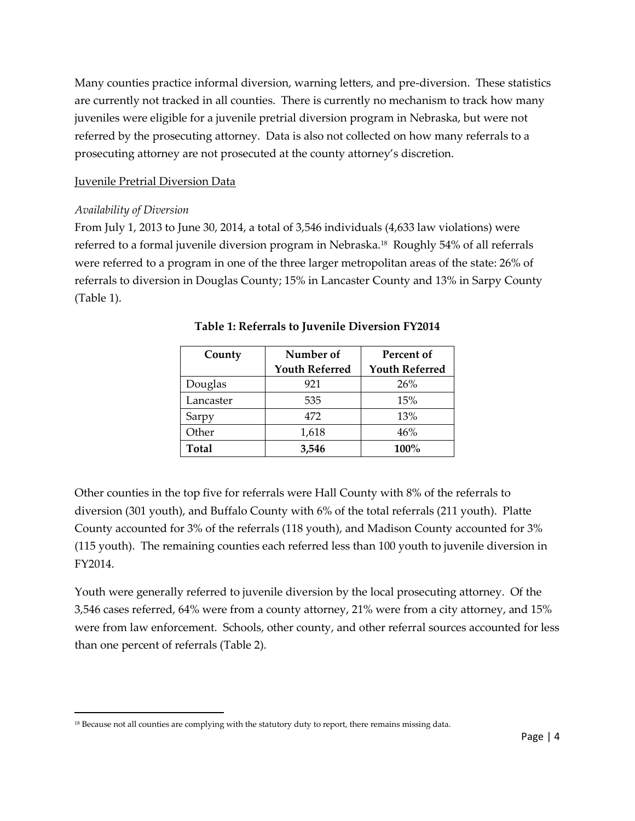Many counties practice informal diversion, warning letters, and pre-diversion. These statistics are currently not tracked in all counties. There is currently no mechanism to track how many juveniles were eligible for a juvenile pretrial diversion program in Nebraska, but were not referred by the prosecuting attorney. Data is also not collected on how many referrals to a prosecuting attorney are not prosecuted at the county attorney's discretion.

#### Juvenile Pretrial Diversion Data

#### *Availability of Diversion*

 $\overline{\phantom{a}}$ 

From July 1, 2013 to June 30, 2014, a total of 3,546 individuals (4,633 law violations) were referred to a formal juvenile diversion program in Nebraska.<sup>18</sup> Roughly 54% of all referrals were referred to a program in one of the three larger metropolitan areas of the state: 26% of referrals to diversion in Douglas County; 15% in Lancaster County and 13% in Sarpy County (Table 1).

| County       | Number of             | Percent of            |
|--------------|-----------------------|-----------------------|
|              | <b>Youth Referred</b> | <b>Youth Referred</b> |
| Douglas      | 921                   | 26%                   |
| Lancaster    | 535                   | 15%                   |
| Sarpy        | 472                   | 13%                   |
| Other        | 1,618                 | 46%                   |
| <b>Total</b> | 3,546                 | 100%                  |

| <b>Table 1: Referrals to Juvenile Diversion FY2014</b> |  |  |  |
|--------------------------------------------------------|--|--|--|
|--------------------------------------------------------|--|--|--|

Other counties in the top five for referrals were Hall County with 8% of the referrals to diversion (301 youth), and Buffalo County with 6% of the total referrals (211 youth). Platte County accounted for 3% of the referrals (118 youth), and Madison County accounted for 3% (115 youth). The remaining counties each referred less than 100 youth to juvenile diversion in FY2014.

Youth were generally referred to juvenile diversion by the local prosecuting attorney. Of the 3,546 cases referred, 64% were from a county attorney, 21% were from a city attorney, and 15% were from law enforcement. Schools, other county, and other referral sources accounted for less than one percent of referrals (Table 2).

<sup>&</sup>lt;sup>18</sup> Because not all counties are complying with the statutory duty to report, there remains missing data.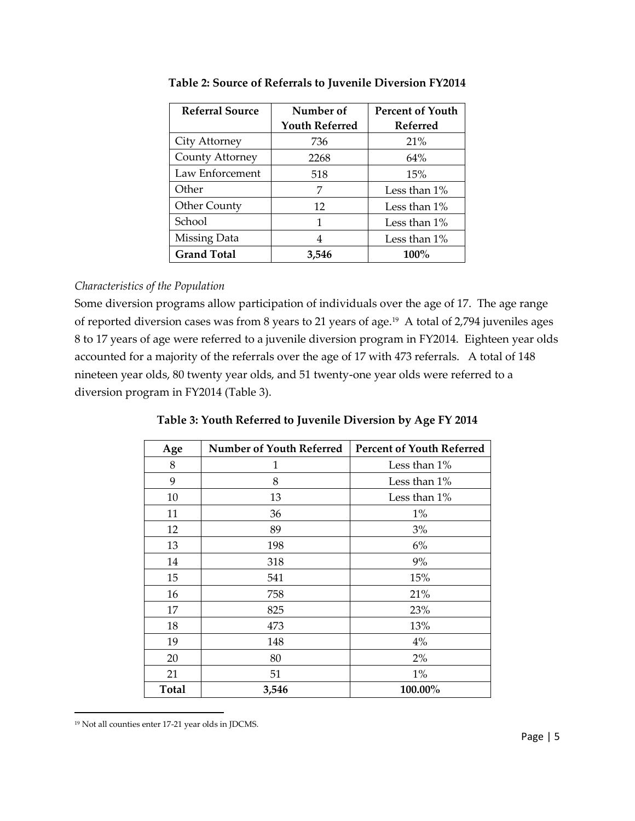| <b>Referral Source</b> | Number of             | <b>Percent of Youth</b> |
|------------------------|-----------------------|-------------------------|
|                        | <b>Youth Referred</b> | <b>Referred</b>         |
| City Attorney          | 736                   | 21%                     |
| County Attorney        | 2268                  | 64%                     |
| Law Enforcement        | 518                   | 15%                     |
| Other                  | 7                     | Less than $1\%$         |
| Other County           | 12                    | Less than 1%            |
| School                 | 1                     | Less than 1%            |
| Missing Data           | 4                     | Less than 1%            |
| <b>Grand Total</b>     | 3,546                 | 100%                    |

**Table 2: Source of Referrals to Juvenile Diversion FY2014**

# *Characteristics of the Population*

Some diversion programs allow participation of individuals over the age of 17. The age range of reported diversion cases was from 8 years to 21 years of age.<sup>19</sup> A total of 2,794 juveniles ages 8 to 17 years of age were referred to a juvenile diversion program in FY2014. Eighteen year olds accounted for a majority of the referrals over the age of 17 with 473 referrals. A total of 148 nineteen year olds, 80 twenty year olds, and 51 twenty-one year olds were referred to a diversion program in FY2014 (Table 3).

| Age          | <b>Number of Youth Referred</b> | <b>Percent of Youth Referred</b> |  |
|--------------|---------------------------------|----------------------------------|--|
| 8            | 1                               | Less than 1%                     |  |
| 9            | 8                               | Less than $1\%$                  |  |
| 10           | 13                              | Less than 1%                     |  |
| 11           | 36                              | $1\%$                            |  |
| 12           | 89                              | 3%                               |  |
| 13           | 198                             | $6\%$                            |  |
| 14           | 318                             | 9%                               |  |
| 15           | 541                             | 15%                              |  |
| 16           | 758                             | 21%                              |  |
| 17           | 825                             | 23%                              |  |
| 18           | 473                             | 13%                              |  |
| 19           | 148                             | 4%                               |  |
| 20           | 80                              | 2%                               |  |
| 21           | 51                              | $1\%$                            |  |
| <b>Total</b> | 3,546                           | 100.00%                          |  |

**Table 3: Youth Referred to Juvenile Diversion by Age FY 2014**

 $\overline{\phantom{a}}$ 

<sup>19</sup> Not all counties enter 17-21 year olds in JDCMS.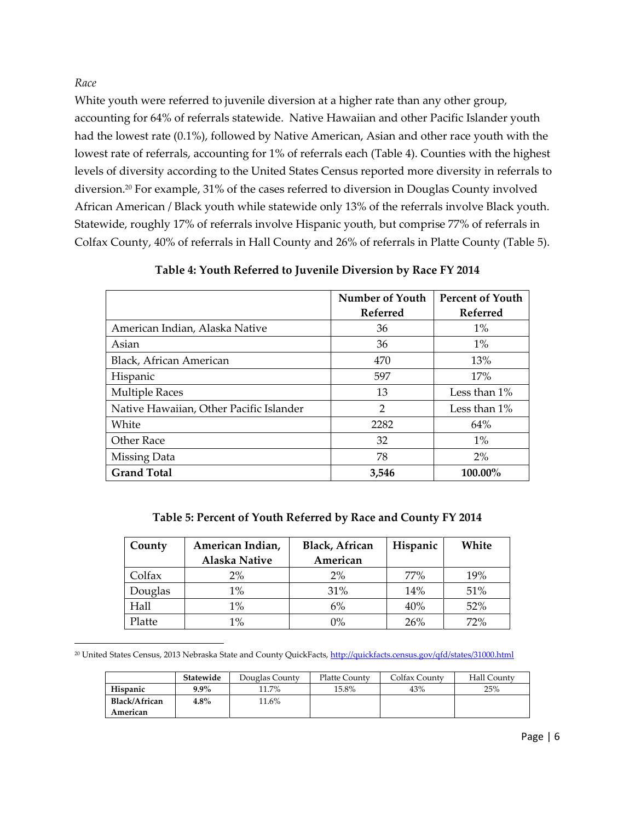*Race*

l

White youth were referred to juvenile diversion at a higher rate than any other group, accounting for 64% of referrals statewide. Native Hawaiian and other Pacific Islander youth had the lowest rate (0.1%), followed by Native American, Asian and other race youth with the lowest rate of referrals, accounting for 1% of referrals each (Table 4). Counties with the highest levels of diversity according to the United States Census reported more diversity in referrals to diversion.<sup>20</sup> For example, 31% of the cases referred to diversion in Douglas County involved African American / Black youth while statewide only 13% of the referrals involve Black youth. Statewide, roughly 17% of referrals involve Hispanic youth, but comprise 77% of referrals in Colfax County, 40% of referrals in Hall County and 26% of referrals in Platte County (Table 5).

|                                         | Number of Youth | <b>Percent of Youth</b> |
|-----------------------------------------|-----------------|-------------------------|
|                                         | Referred        | Referred                |
| American Indian, Alaska Native          | 36              | $1\%$                   |
| Asian                                   | 36              | $1\%$                   |
| Black, African American                 | 470             | 13%                     |
| Hispanic                                | 597             | 17%                     |
| <b>Multiple Races</b>                   | 13              | Less than $1\%$         |
| Native Hawaiian, Other Pacific Islander | $\overline{2}$  | Less than $1\%$         |
| White                                   | 2282            | 64%                     |
| Other Race                              | 32              | $1\%$                   |
| Missing Data                            | 78              | 2%                      |
| <b>Grand Total</b>                      | 3,546           | 100.00%                 |

**Table 4: Youth Referred to Juvenile Diversion by Race FY 2014**

**Table 5: Percent of Youth Referred by Race and County FY 2014**

| County  | American Indian,     | Black, African | Hispanic | White |
|---------|----------------------|----------------|----------|-------|
|         | <b>Alaska Native</b> | American       |          |       |
| Colfax  | 2%                   | 2%             | 77%      | 19%   |
| Douglas | $1\%$                | 31%            | 14%      | 51%   |
| Hall    | $1\%$                | 6%             | 40%      | 52%   |
| Platte  | 1%                   | 0%             | 26%      | 72%   |

<sup>20</sup> United States Census, 2013 Nebraska State and County QuickFacts, http://quickfacts.census.gov/qfd/states/31000.html

|               | Statewide | Douglas County | Platte County | Colfax County | Hall County |
|---------------|-----------|----------------|---------------|---------------|-------------|
| Hispanic      | $9.9\%$   | 11.7%          | 15.8%         | 43%           | 25%         |
| Black/African | 4.8%      | 11.6%          |               |               |             |
| American      |           |                |               |               |             |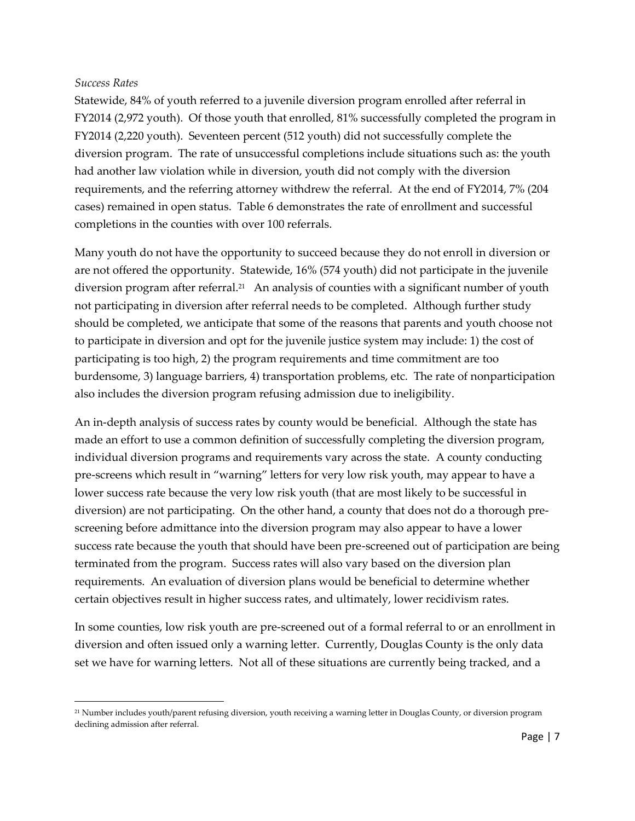#### *Success Rates*

 $\overline{a}$ 

Statewide, 84% of youth referred to a juvenile diversion program enrolled after referral in FY2014 (2,972 youth). Of those youth that enrolled, 81% successfully completed the program in FY2014 (2,220 youth). Seventeen percent (512 youth) did not successfully complete the diversion program. The rate of unsuccessful completions include situations such as: the youth had another law violation while in diversion, youth did not comply with the diversion requirements, and the referring attorney withdrew the referral. At the end of FY2014, 7% (204 cases) remained in open status. Table 6 demonstrates the rate of enrollment and successful completions in the counties with over 100 referrals.

Many youth do not have the opportunity to succeed because they do not enroll in diversion or are not offered the opportunity. Statewide, 16% (574 youth) did not participate in the juvenile diversion program after referral.<sup>21</sup> An analysis of counties with a significant number of youth not participating in diversion after referral needs to be completed. Although further study should be completed, we anticipate that some of the reasons that parents and youth choose not to participate in diversion and opt for the juvenile justice system may include: 1) the cost of participating is too high, 2) the program requirements and time commitment are too burdensome, 3) language barriers, 4) transportation problems, etc. The rate of nonparticipation also includes the diversion program refusing admission due to ineligibility.

An in-depth analysis of success rates by county would be beneficial. Although the state has made an effort to use a common definition of successfully completing the diversion program, individual diversion programs and requirements vary across the state. A county conducting pre-screens which result in "warning" letters for very low risk youth, may appear to have a lower success rate because the very low risk youth (that are most likely to be successful in diversion) are not participating. On the other hand, a county that does not do a thorough prescreening before admittance into the diversion program may also appear to have a lower success rate because the youth that should have been pre-screened out of participation are being terminated from the program. Success rates will also vary based on the diversion plan requirements. An evaluation of diversion plans would be beneficial to determine whether certain objectives result in higher success rates, and ultimately, lower recidivism rates.

In some counties, low risk youth are pre-screened out of a formal referral to or an enrollment in diversion and often issued only a warning letter. Currently, Douglas County is the only data set we have for warning letters. Not all of these situations are currently being tracked, and a

<sup>21</sup> Number includes youth/parent refusing diversion, youth receiving a warning letter in Douglas County, or diversion program declining admission after referral.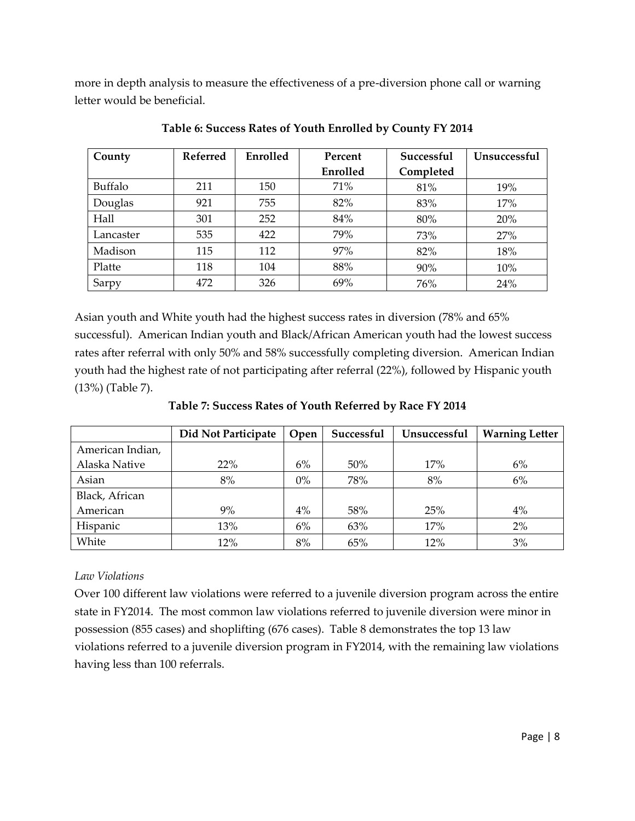more in depth analysis to measure the effectiveness of a pre-diversion phone call or warning letter would be beneficial.

| County    | <b>Referred</b> | Enrolled | Percent  | Successful | <b>Unsuccessful</b> |
|-----------|-----------------|----------|----------|------------|---------------------|
|           |                 |          | Enrolled | Completed  |                     |
| Buffalo   | 211             | 150      | 71%      | 81%        | 19%                 |
| Douglas   | 921             | 755      | 82%      | 83%        | 17%                 |
| Hall      | 301             | 252      | 84%      | 80%        | 20%                 |
| Lancaster | 535             | 422      | 79%      | 73%        | 27%                 |
| Madison   | 115             | 112      | 97%      | 82%        | 18%                 |
| Platte    | 118             | 104      | 88%      | 90%        | 10%                 |
| Sarpy     | 472             | 326      | 69%      | 76%        | 24%                 |

**Table 6: Success Rates of Youth Enrolled by County FY 2014**

Asian youth and White youth had the highest success rates in diversion (78% and 65% successful). American Indian youth and Black/African American youth had the lowest success rates after referral with only 50% and 58% successfully completing diversion. American Indian youth had the highest rate of not participating after referral (22%), followed by Hispanic youth (13%) (Table 7).

**Table 7: Success Rates of Youth Referred by Race FY 2014**

|                  | Did Not Participate | Open  | Successful | Unsuccessful | <b>Warning Letter</b> |
|------------------|---------------------|-------|------------|--------------|-----------------------|
| American Indian, |                     |       |            |              |                       |
| Alaska Native    | 22%                 | 6%    | 50%        | 17%          | 6%                    |
| Asian            | 8%                  | $0\%$ | 78%        | 8%           | 6%                    |
| Black, African   |                     |       |            |              |                       |
| American         | 9%                  | 4%    | 58%        | 25%          | 4%                    |
| Hispanic         | 13%                 | 6%    | 63%        | 17%          | $2\%$                 |
| White            | 12%                 | 8%    | 65%        | 12%          | 3%                    |

# *Law Violations*

Over 100 different law violations were referred to a juvenile diversion program across the entire state in FY2014. The most common law violations referred to juvenile diversion were minor in possession (855 cases) and shoplifting (676 cases). Table 8 demonstrates the top 13 law violations referred to a juvenile diversion program in FY2014, with the remaining law violations having less than 100 referrals.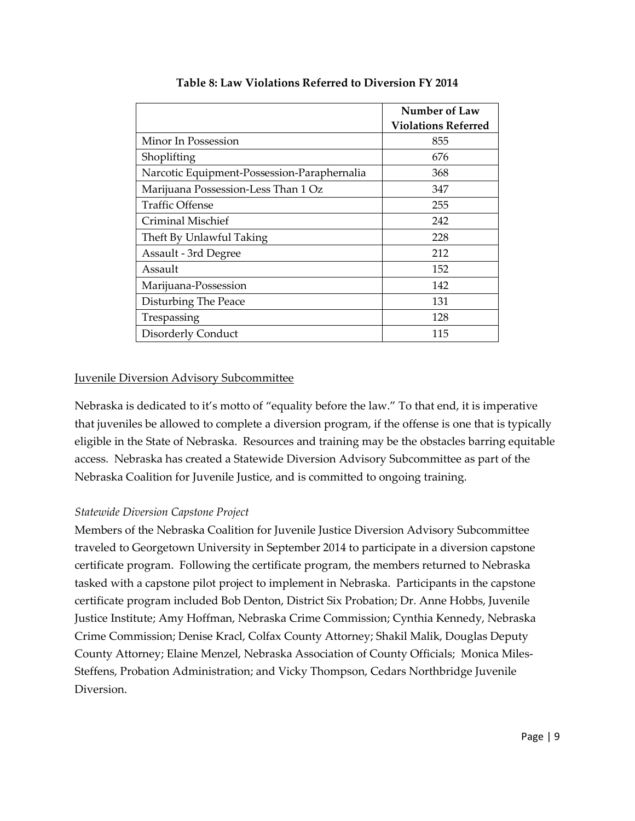|                                             | Number of Law              |
|---------------------------------------------|----------------------------|
|                                             | <b>Violations Referred</b> |
| Minor In Possession                         | 855                        |
| Shoplifting                                 | 676                        |
| Narcotic Equipment-Possession-Paraphernalia | 368                        |
| Marijuana Possession-Less Than 1 Oz         | 347                        |
| <b>Traffic Offense</b>                      | 255                        |
| Criminal Mischief                           | 242                        |
| Theft By Unlawful Taking                    | 228                        |
| Assault - 3rd Degree                        | 212                        |
| Assault                                     | 152                        |
| Marijuana-Possession                        | 142                        |
| Disturbing The Peace                        | 131                        |
| Trespassing                                 | 128                        |
| Disorderly Conduct                          | 115                        |

**Table 8: Law Violations Referred to Diversion FY 2014**

## Juvenile Diversion Advisory Subcommittee

Nebraska is dedicated to it's motto of "equality before the law." To that end, it is imperative that juveniles be allowed to complete a diversion program, if the offense is one that is typically eligible in the State of Nebraska. Resources and training may be the obstacles barring equitable access. Nebraska has created a Statewide Diversion Advisory Subcommittee as part of the Nebraska Coalition for Juvenile Justice, and is committed to ongoing training.

## *Statewide Diversion Capstone Project*

Members of the Nebraska Coalition for Juvenile Justice Diversion Advisory Subcommittee traveled to Georgetown University in September 2014 to participate in a diversion capstone certificate program. Following the certificate program, the members returned to Nebraska tasked with a capstone pilot project to implement in Nebraska. Participants in the capstone certificate program included Bob Denton, District Six Probation; Dr. Anne Hobbs, Juvenile Justice Institute; Amy Hoffman, Nebraska Crime Commission; Cynthia Kennedy, Nebraska Crime Commission; Denise Kracl, Colfax County Attorney; Shakil Malik, Douglas Deputy County Attorney; Elaine Menzel, Nebraska Association of County Officials; Monica Miles-Steffens, Probation Administration; and Vicky Thompson, Cedars Northbridge Juvenile Diversion.